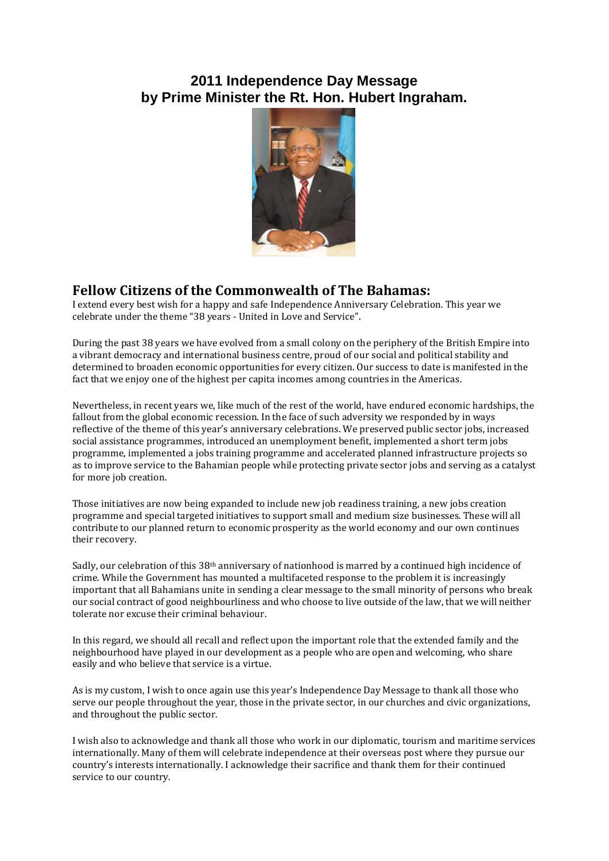## **2011 Independence Day Message by Prime Minister the Rt. Hon. Hubert Ingraham.**



## **Fellow Citizens of the Commonwealth of The Bahamas:**

I extend every best wish for a happy and safe Independence Anniversary Celebration. This year we celebrate under the theme "38 years - United in Love and Service".

During the past 38 years we have evolved from a small colony on the periphery of the British Empire into a vibrant democracy and international business centre, proud of our social and political stability and determined to broaden economic opportunities for every citizen. Our success to date is manifested in the fact that we enjoy one of the highest per capita incomes among countries in the Americas.

Nevertheless, in recent years we, like much of the rest of the world, have endured economic hardships, the fallout from the global economic recession. In the face of such adversity we responded by in ways reflective of the theme of this year's anniversary celebrations. We preserved public sector jobs, increased social assistance programmes, introduced an unemployment benefit, implemented a short term jobs programme, implemented a jobs training programme and accelerated planned infrastructure projects so as to improve service to the Bahamian people while protecting private sector jobs and serving as a catalyst for more job creation.

Those initiatives are now being expanded to include new job readiness training, a new jobs creation programme and special targeted initiatives to support small and medium size businesses. These will all contribute to our planned return to economic prosperity as the world economy and our own continues their recovery.

Sadly, our celebration of this 38<sup>th</sup> anniversary of nationhood is marred by a continued high incidence of crime. While the Government has mounted a multifaceted response to the problem it is increasingly important that all Bahamians unite in sending a clear message to the small minority of persons who break our social contract of good neighbourliness and who choose to live outside of the law, that we will neither tolerate nor excuse their criminal behaviour.

In this regard, we should all recall and reflect upon the important role that the extended family and the neighbourhood have played in our development as a people who are open and welcoming, who share easily and who believe that service is a virtue.

As is my custom, I wish to once again use this year's Independence Day Message to thank all those who serve our people throughout the year, those in the private sector, in our churches and civic organizations, and throughout the public sector.

I wish also to acknowledge and thank all those who work in our diplomatic, tourism and maritime services internationally. Many of them will celebrate independence at their overseas post where they pursue our country's interests internationally. I acknowledge their sacrifice and thank them for their continued service to our country.